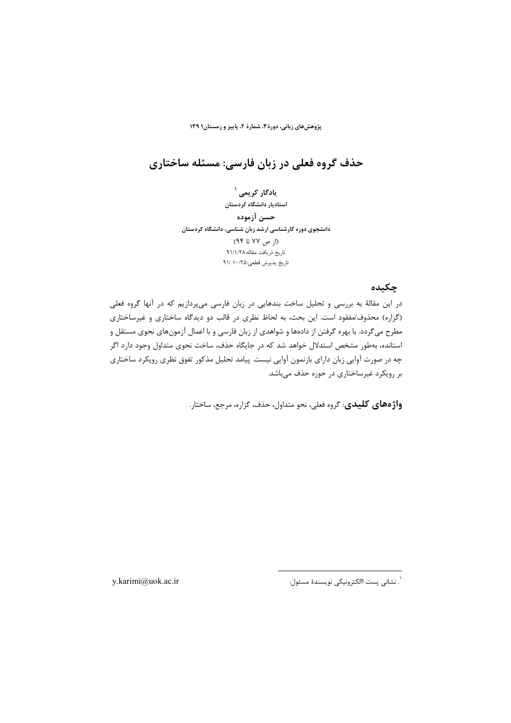# حذف گروه فعلی در زبان فارسی: مسئله ساختاری

یادگار کریمی <sup>۱</sup> استادیار دانشگاه کردستان حسن آزموده دانشجوی دوره کارشناسی ارشد زبان شناسی، دانشگاه کردستان  $(15 \times 19)$  تا ۹۴) تاریخ دریافت مقاله:۹۱/۱/۲۸ تاريخ پذيرش قطعي:١٠/٢٥ /٩١

## چکیده

در این مقالهٔ به بررسی و تحلیل ساخت بندهایی در زبان فارسی میپردازیم که در آنها گروه فعلی (گزاره) محذوف/مفقود است. این بحث، به لحاظ نظری در قالب دو دیدگاه ساختاری و غیرساختاری مطرح میگردد. با بهره گرفتن از دادهها و شواهدی از زبان فارسی و با اعمال آزمونهای نحوی مستقل و استانده، بهطور مشخص استدلال خواهد شد که در جایگاه حذف، ساخت نحوی متداول وجود دارد اگر چه در صورت آوایی زبان دارای بازنمون آوایی نیست. پیامد تحلیل مذکور تفوق نظری رویکرد ساختاری بر رویکرد غیرساختاری در حوزه حذف میباشد.

واژههای کلیدی: گروه فعلی، نحو متداول، حذف، گزاره، مرجع، ساختار.

`. نشانى پست االكترونيكى نويسندهٔ مسئول:

v.karimi@uok.ac.ir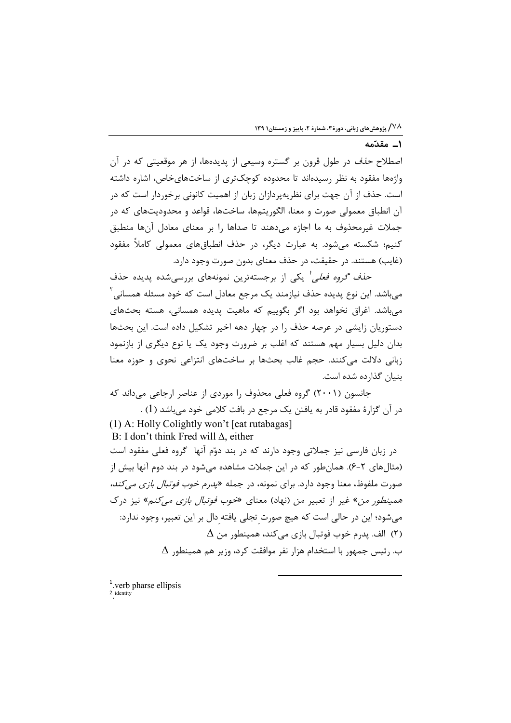## **ا\_\_ مقدّمه**

اصطلاح *حذف* در طول قرون بر گستره وسیعی از پدیدهها، از هر موقعیتی که در آن واژهها مفقود به نظر رسیدهاند تا محدوده کوچکتری از ساختهای خاص، اشاره داشته است. حذف از آن جهت برای نظریهپردازان زبان از اهمیت کانونی برخوردار است که در آن انطباق معمولی صورت و معنا، الگوریتمها، ساختها، قواعد و محدودیتهای که در جملات غیرمحذوف به ما اجازه می دهند تا صداها را بر معنای معادل آنها منطبق کنیم؛ شکسته میشود. به عبارت دیگر، در حذف انطباقهای معمولی کاملاً مفقود (غايب) هستند. در حقيقت، در حذف معناي بدون صورت وجود دارد.

ح*ذف گروه فعلی <sup>ا</sup>* یکی از برجستهترین نمونههای بررسی شده یدیده حذف میباشد. این نوع پدیده حذف نیازمند یک مرجع معادل است که خود مسئله همسانی<sup>۲</sup> می باشد. اغراق نخواهد بود اگر بگوییم که ماهیت پدیده همسانی، هسته بحثهای دستوریان زایشی در عرصه حذف را در چهار دهه اخیر تشکیل داده است. این بحثها بدان دلیل بسیار مهم هستند که اغلب بر ضرورت وجود یک یا نوع دیگری از بازنمود زبانی دلالت میکنند. حجم غالب بحثها بر ساختهای انتزاعی نحوی و حوزه معنا ينيان گذارده شده است.

جانسون (۲۰۰۱) گروه فعلی محذوف را موردی از عناصر ارجاعی میداند که در آن گزارهٔ مفقود قادر به یافتن یک مرجع در بافت کلامی خود میباشد (1) .

(1) A: Holly Colightly won't [eat rutabagas] B: I don't think Fred will  $\Delta$ , either در زبان فارسی نیز جملاتی وجود دارند که در بند دوّم آنها گروه فعلی مفقود است (مثالهای ۲-۶). همانطور که در این جملات مشاهده میشود در بند دوم آنها بیش از صورت ملفوظ، معنا وجود دارد. براي نمونه، در جمله «پ*درم خوب فوتبال بازي مي كند،* همی*نطور من»* غیر از تعبیر *من* (نهاد) معنای *«خوب فوتبال بازی می کنم»* نیز درک می شود؛ این در حالی است که هیچ صورت تجلی یافته دال بر این تعبیر، وجود ندارد:  $\Delta$  الف. يدرم خوب فوتبال بازي مي كند، همينطور من  $\Delta$  $\Delta$  ب.  $\epsilon$ ئیس جمهور با استخدام هزار نفر موافقت کرد، وزیر هم همینطور

<sup>1</sup>.verb pharse ellipsis . identity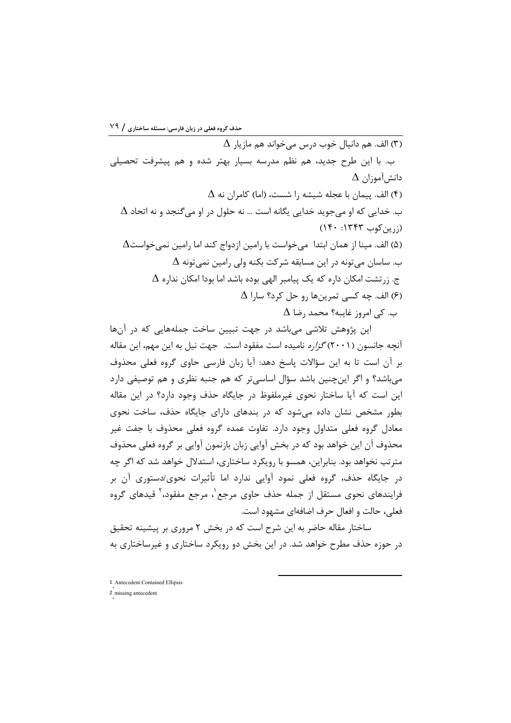$\Delta$  الف. هم دانيال خوب درس مي خواند هم مازيار  $\Delta$ ب. با این طرح جدید، هم نظم مدرسه بسیار بهتر شده و هم پیشرفت تحصیلی  $\Delta$  دانش آموزان  $\Delta$ (۴) الف. ييمان با عجله شيشه ,ا شست، (اما) كامران نه  $\Delta$ ب. خدایی که او می جوید خدایی یگانه است … نه حلول در او می *گ*نجد و نه اتحاد  $\Delta$  $(1f \cdot .1fff' \cup i(j_1))$ (۵) الف. مینا از همان ابتدا میخواست با رامین ازدواج کند اما رامین نمیخواست $\Delta$  $\Delta$  ب. ساسان می تونه در این مسابقه شرکت بکنه ولی رامین نمی تونه  $\Delta$  $\Delta$  ج. زرتشت امکان داره که یک پیامبر الهی بوده باشد اما بودا امکان نداره  $\Delta$  ) الف. ڇه کسي تمرينها رو حل کرد؟ سارا $\Delta$  $\Delta$ ب. کی امروز غایبه؟ محمد رضا

این پژوهش تلاشی میباشد در جهت تبیین ساخت جملههایی که در آنها آنچه جانسون (۲۰۰۱) *گزاره* نامیده است مفقود است. جهت نیل به این مهم، این مقاله بر آن است تا به این سؤالات پاسخ دهد: آیا زبان فارسی حاوی گروه فعلی محذوف میباشد؟ و اگر اینچنین باشد سؤال اساسیتر که هم جنبه نظری و هم توصیفی دارد این است که آیا ساختار نحوی غیرملفوظ در جایگاه حذف وجود دارد؟ در این مقاله بطور مشخص نشان داده می شود که در بندهای دارای جایگاه حذف، ساخت نحوی معادل گروه فعلی متداول وجود دارد. تفاوت عمده گروه فعلی محذوف با جفت غیر محذوف آن این خواهد بود که در بخش آوایی زبان بازنمون آوایی بر گروه فعلی محذوف مترتب نخواهد بود. بنابراین، همسو با رویکرد ساختاری، استدلال خواهد شد که اگر چه در جایگاه حذف، گروه فعلی نمود آوایی ندارد اما تأثیرات نحوی/دستوری آن بر فرایندهای نحوی مستقل از جمله حذف حاوی مرجع`، مرجع مفقود،` قیدهای گروه فعلي، حالت و افعال حرف اضافهاي مشهود است.

ساختار مقاله حاضر به این شرح است که در بخش ۲ مروری بر پیشینه تحقیق د, حوزه حذف مطرح خواهد شد. در این بخش دو رویکرد ساختاری و غیرساختاری به

1 Antecedent Contained Ellipsis

2 missing antecedent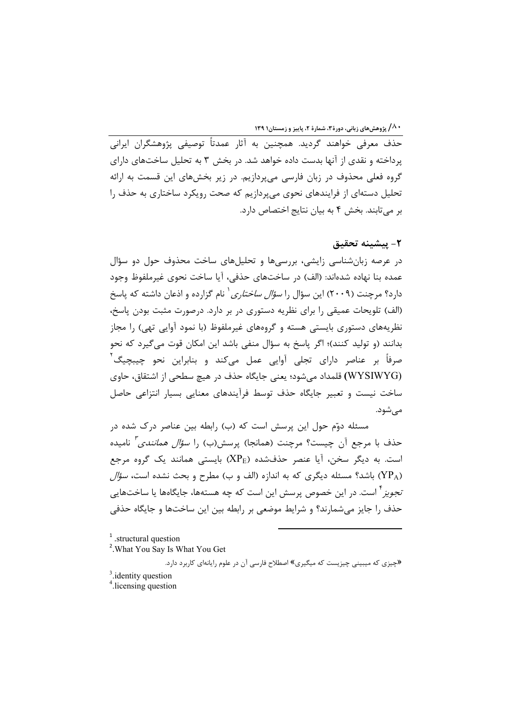حذف معرفی خواهند گردید. همچنین به آثار عمدتاً توصیفی پژوهشگران ایرانی پرداخته و نقدی از آنها بدست داده خواهد شد. در بخش ۳ به تحلیل ساختهای دارای گروه فعلی محذوف در زبان فارسی میپردازیم. در زیر بخشهای این قسمت به ارائه تحلیل دستهای از فرایندهای نحوی می پردازیم که صحت رویکرد ساختاری به حذف را بر میتابند. بخش ۴ به بیان نتایج اختصاص دارد.

# ٢- يىشىنە تحقىق

در عرصه زبانشناسی زایشی، بررسیها و تحلیلهای ساخت محذوف حول دو سؤال عمده بنا نهاده شدهاند: (الف) در ساختهای حذفی، آیا ساخت نحوی غیرملفوظ وجود دارد؟ مرچنت (۲۰۰۹) این سؤال را *سؤال ساختاری*` نام گزارده و اذعان داشته که پاسخ (الف) تلویحات عمیقی را برای نظریه دستوری در بر دارد. درصورت مثبت بودن پاسخ، نظریههای دستوری بایستی هسته و گروههای غیرملفوظ (با نمود آوایی تهی) را مجاز بدانند (و تولید کنند)؛ اگر پاسخ به سؤال منفی باشد این امکان قوت می گیرد که نحو صرفاً بر عناصر دارای تجلی آوایی عمل میکند و بنابراین نحو چیبچیگ<sup>۲</sup> (WYSIWYG) قلمداد می شود؛ یعنی جایگاه حذف در هیچ سطحی از اشتقاق، حاوی ساخت نیست و تعبیر جایگاه حذف توسط فرآیندهای معنایی بسیار انتزاعی حاصل مے شود.

مسئله دوّم حول این پرسش است که (ب) رابطه بین عناصر درک شده در حذف با مرجع آن چیست؟ مرچنت (همانجا) پرسش(ب) را *سؤال همانندی <sup>۲</sup>* نامیده است. به دیگر سخن، آیا عنصر حذفشده (XPE) بایستی همانند یک گروه مرجع (YP<sub>A)</sub> باشد؟ مسئله دیگری که به اندازه (الف و ب) مطرح و بحث نشده است، *سؤال تجویز* ٔ است. در این خصوص پرسش این است که چه هستهها، جایگاهها یا ساختهایی حذف را جایز میشمارند؟ و شرایط موضعی بر رابطه بین این ساختها و جایگاه حذفی

 $1$ .structural question

<sup>&</sup>lt;sup>2</sup>. What You Say Is What You Get

<sup>«</sup>چیزی که میبینی چیزیست که میگیری» اصطلاح فارسی آن در علوم رایانهای کاربرد دارد.

 $3$  identity question

<sup>&</sup>lt;sup>4</sup>.licensing question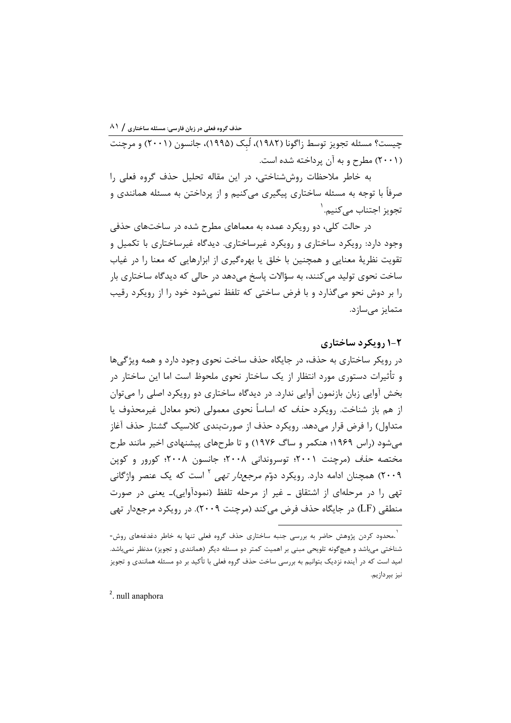چیست؟ مسئله تجویز توسط زاگونا (۱۹۸۲)، لُبک (۱۹۹۵)، جانسون (۲۰۰۱) و مرچنت (۲۰۰۱) مطرح و به آن پرداخته شده است.

به خاطر ملاحظات روش شناختی، در این مقاله تحلیل حذف گروه فعلی را صرفاً با توجه به مسئله ساختاری پیگیری می کنیم و از پرداختن به مسئله همانندی و تجويز اجتناب مے *ک*نيم. <sup>י</sup>

در حالت کلی، دو رویکرد عمده به معماهای مطرح شده در ساختهای حذفی وجود دارد: رویکرد ساختاری و رویکرد غیرساختاری. دیدگاه غیرساختاری با تکمیل و تقویت نظریهٔ معنایی و همچنین با خلق یا بهرهگیری از ابزارهایی که معنا را در غیاب ساخت نحوی تولید می کنند، به سؤالات پاسخ می دهد در حالی که دیدگاه ساختاری بار را بر دوش نحو می گذارد و با فرض ساختی که تلفظ نمی شود خود را از رویکرد رقیب متمایز میسازد.

## **2-۱ رویکرد ساختاری**

در رویکر ساختاری به حذف، در جایگاه حذف ساخت نحوی وجود دارد و همه ویژگیها و تأثیرات دستوری مورد انتظار از یک ساختار نحوی ملحوظ است اما این ساختار در بخش آوايي زبان بازنمون آوايي ندارد. در ديدگاه ساختاري دو رويكرد اصلي را مي توان از هم باز شناخت. رویکرد *حذف* که اساساً نحوی معمولی (نحو معادل غیرمحذوف یا متداول) را فرض قرار میدهد. رویکرد حذف از صورتبندی کلاسیک گشتار حذف آغاز میشود (راس ۱۹۶۹؛ هنکمر و ساگ ۱۹۷۶) و تا طرحهای پیشنهادی اخیر مانند طرح مختصه *حذف* (مرچنت ۲۰۰۱؛ توسروندانی ۲۰۰۸؛ جانسون ۲۰۰۸؛ کورور و کوپن ۲۰۰۹) همچنان ادامه دارد. رویکرد دوّم *مرجعدار تهی <sup>۲</sup>* است که یک عنصر واژگانی تھی را در مرحلهای از اشتقاق ــ غیر از مرحله تلفظ (نمودآوایی)ــ یعنی در صورت منطقی (LF) در جایگاه حذف فرض میکند (مرچنت ۲۰۰۹). در رویکرد مرجعدار تهی

<sup>2</sup>. null anaphora

<sup>.&</sup>lt;br>`.محدود کردن پژوهش حاضر به بررسی جنبه ساختاری حذف گروه فعلی تنها به خاطر دغدغههای روش-شناختی می باشد و هیچگونه تلویحی مبنی بر اهمیت کمتر دو مسئله دیگر (همانندی و تجویز) مدنظر نمی باشد. امید است که در آینده نزدیک بتوانیم به بررسی ساخت حذف گروه فعلی با تأکید بر دو مسئله همانندی و تجویز نيز بپردازيم.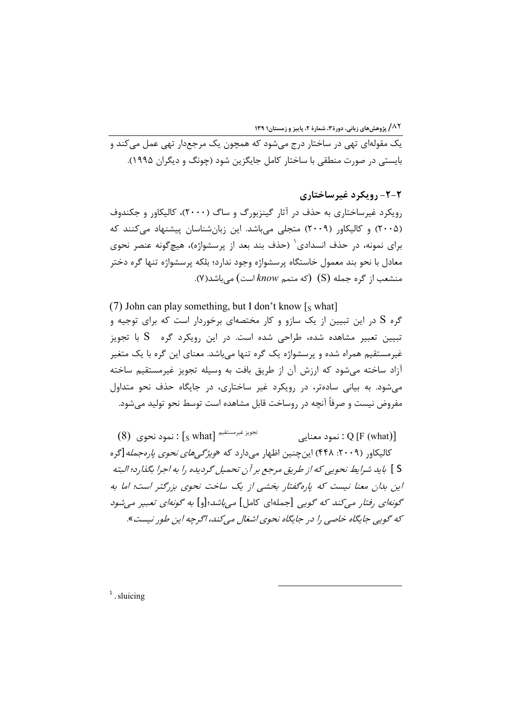یک مقولهای تهی در ساختار درج میشود که همچون یک مرجعدار تهی عمل میکند و بايستې در صورت منطقې با ساختار کامل جايگزين شود (چونگ و ديگران ۱۹۹۵).

۲-۲- رویکرد غیرساختاری رویکرد غیرساختاری به حذف در آثار گینزبورگ و ساگ (۲۰۰۰)، کالیکاور و جکندوف (۲۰۰۵) و کالیکاور (۲۰۰۹) متجلی میباشد. این زبانشناسان پیشنهاد میکنند که برای نمونه، در حذف انسدادی ٔ (حذف بند بعد از پرسشواژه)، هیچگونه عنصر نحوی معادل با نحو بند معمول خاستگاه پرسشواژه وجود ندارد؛ بلکه پرسشواژه تنها گره دختر منشعب از گره جمله (S) (که متمم know است) میباشد(۷).

(7) John can play something, but I don't know  $\lceil s \text{ what } \rceil$ گره S در این تبیین از یک سازو و کار مختصهای برخوردار است که برای توجیه و تبیین تعبیر مشاهده شده، طراحی شده است. در این رویکرد گره S با تجویز غیرمستقیم همراه شده و پرسشواژه یک گره تنها میباشد. معنای این گره با یک متغیر آزاد ساخته می شود که ارزش آن از طریق بافت به وسیله تجویز غیرمستقیم ساخته می شود. به بیانی سادهتر، در رویکرد غیر ساختاری، در جایگاه حذف نحو متداول مفروض نيست و صرفاً آنچه در روساخت قابل مشاهده است توسط نحو توليد مي شود.

 $(8)$  تَجْوِيزَ غَيْرَمُسْتَقِيمَ  $\lceil_{\rm S} \text{ what} \rceil$  : نمود نحوي نمود معنايي: Q [F (what)] کالیکاور (۲۰۰۹: ۴۴۸) این چنین اظهار می دارد که «*ویژگی های نحوی پارهجمله*[گره S ] بايد شرايط نحويي كه از طريق مرجع بر آن تحميل گرديده را به اجرا بگذارد؛ البته این بدان معنا نیست که پارهگفتار بخشبی از یک ساخت نحوی بزرگتر است؛ اما به گونه/ی رفتار می کند که گویی [جملهای کامل] می باشد؛[و] به گونه/ی تعبیر می شود که گوپی جایگاه خاصی را در جایگاه نحوی اشغال می کند، اگرچه این طور نیست».

 $<sup>1</sup>$ . sluicing</sup>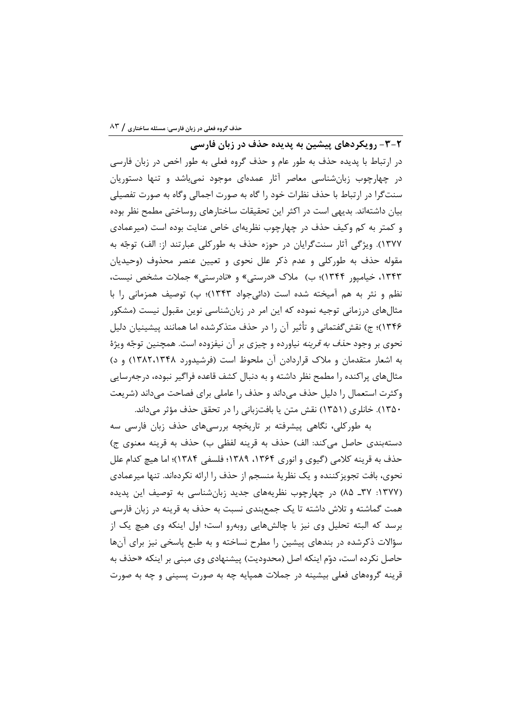-<br>۲-۳- رویکردهای پیشین به پدیده حذف در زبان فارسی در ارتباط با پدیده حذف به طور عام و حذف گروه فعلی به طور اخص در زبان فارسی در چهارچوب زبانشناسی معاصر آثار عمدهای موجود نمیباشد و تنها دستوریان سنت\$را در ارتباط با حذف نظرات خود را گاه به صورت اجمالی وگاه به صورت تفصیلی بیان داشتهاند. بدیهی است در اکثر این تحقیقات ساختارهای روساختی مطمح نظر بوده و کمتر به کم وکیف حذف در چهارچوب نظریهای خاص عنایت بوده است (میرعمادی ۱۳۷۷). ویژگی آثار سنتگرایان در حوزه حذف به طورکلی عبارتند از: الف) توجّه به مقوله حذف به طورکلی و عدم ذکر علل نحوی و تعیین عنصر محذوف (وحیدیان ۱۳۴۳، خیامپور ۱۳۴۴)؛ ب) ملاک «درستی» و «نادرستی» جملات مشخص نیست، نظم و نثر به هم آمیخته شده است (دائیجواد ۱۳۴۳)؛ پ) توصیف همزمانی را با مثالهای درزمانی توجیه نموده که این امر در زبانشناسی نوین مقبول نیست (مشکور ۱۳۴۶)؛ ج) نقش گفتمانی و تأثیر آن را در حذف متذکرشده اما همانند پیشینیان دلیل نحوی بر وجود *حذف به قرینه* نیاورده و چیزی بر آن نیفزوده است. همچنین توجّه ویژهٔ به اشعار متقدمان و ملاک قراردادن آن ملحوظ است (فرشیدورد ۱۳۸۲،۱۳۴۸) و د) مثالهای پراکنده را مطمح نظر داشته و به دنبال کشف قاعده فراگیر نبوده، درجهرسایی وكثرت استعمال را دليل حذف مى داند و حذف را عاملي براي فصاحت مى داند (شريعت ۱۳۵۰). خانلری (۱۳۵۱) نقش متن یا بافتزبانی را در تحقق حذف مؤثر می داند.

به طورکلی، نگاهی پیشرفته بر تاریخچه بررسیهای حذف زبان فارسی سه دستهبندي حاصل مي كند: الف) حذف به قرينه لفظي ب) حذف به قرينه معنوي ج) حذف به قرينه كلامي (گيوي و انوري ۱۳۶۴، ۱۳۸۹؛ فلسفي ۱۳۸۴)؛ اما هيچ كدام علل نحوی، بافت تجویزکننده و یک نظریهٔ منسجم از حذف را ارائه نکردهاند. تنها میرعمادی (۱۳۷۷: ۳۷ـ ۸۵) در چهارچوب نظریههای جدید زبانشناسی به توصیف این پدیده همت گماشته و تلاش داشته تا یک جمعبندی نسبت به حذف به قرینه در زبان فارسی برسد که البته تحلیل وی نیز با چالشهایی روبهرو است؛ اول اینکه وی هیچ یک از سؤالات ذکرشده در بندهای پیشین را مطرح نساخته و به طبع پاسخی نیز برای آنها حاصل نكرده است، دوّم اينكه اصل (محدوديت) پيشنهادي وي مبني بر اينكه «حذف به قرینه گروههای فعلی بیشینه در جملات همپایه چه به صورت پسینی و چه به صورت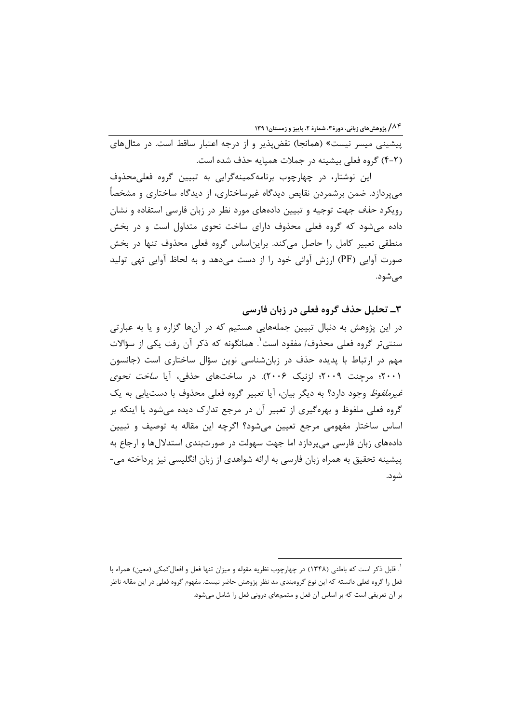پیشینی میسر نیست» (همانجا) نقضپذیر و از درجه اعتبار ساقط است. در مثالهای (۲-۴) گروه فعلی بیشینه در جملات همیایه حذف شده است.

این نوشتار، در چهارچوب برنامهکمینهگرایی به تبیین گروه فعلیمحذوف می پردازد. ضمن برشمردن نقایص دیدگاه غیرساختاری، از دیدگاه ساختاری و مشخصاً رویکرد *حذف ج*هت توجیه و تبیین دادههای مورد نظر در زبان فارسی استفاده و نشان داده می شود که گروه فعلی محذوف دارای ساخت نحوی متداول است و در بخش منطقی تعبیر کامل را حاصل میکند. براین اساس گروه فعلی محذوف تنها در بخش صورت آوایی (PF) ارزش آوائی خود را از دست میدهد و به لحاظ آوایی تهی تولید مے شود.

۳ـ تحلیل حذف گروه فعلی در زبان فارسی در این پژوهش به دنبال تبیین جملههایی هستیم که در آنها گزاره و یا به عبارتی سنتي تر گروه فعلي محذوف/ مفقود است`. همانگونه که ذکر آن رفت یکی از سؤالات مهم در ارتباط با پدیده حذف در زبانشناسی نوین سؤال ساختاری است (جانسون ۲۰۰۱؛ مرچنت ۲۰۰۹؛ لزنیک ۲۰۰۶). در ساختهای حذفی، آیا *ساخت نحوی غیرملفوظ* وجود دارد؟ به دیگر بیان، آیا تعبیر گروه فعلی محذوف با دستیابی به یک گروه فعلی ملفوظ و بهرهگیری از تعبیر آن در مرجع تدارک دیده می شود یا اینکه بر اساس ساختار مفهومی مرجع تعیین میشود؟ اگرچه این مقاله به توصیف و تبیین دادههای زبان فارسی میپردازد اما جهت سهولت در صورتبندی استدلالها و ارجاع به پیشینه تحقیق به همراه زبان فارسی به ارائه شواهدی از زبان انگلیسی نیز پرداخته می-شود.

<sup>`.</sup> قابل ذکر است که باطنی (۱۳۴۸) در چهارچوب نظریه مقوله و میزان تنها فعل و افعال *ک*مکی (معین) همراه با فعل را گروه فعلی دانسته که این نوع گروهبندی مد نظر پژوهش حاضر نیست. مفهوم گروه فعلی در این مقاله ناظر بر آن تعریفی است که بر اساس آن فعل و متممهای درونی فعل را شامل میشود.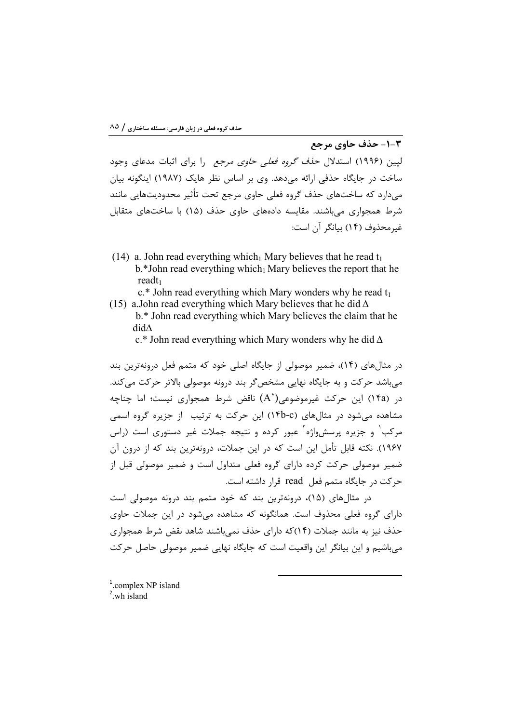2-1- حذف حاوي مرجع لپین (۱۹۹۶) استدلال ح*ذف گروه فعلی حاوی مرجع* را برای اثبات مدعای وجود ساخت در جایگاه حذفی ارائه می دهد. وی بر اساس نظر هایک (۱۹۸۷) اینگونه بیان میدارد که ساختهای حذف گروه فعلی حاوی مرجع تحت تأثیر محدودیتهایی مانند شرط همجواری می باشند. مقایسه دادههای حاوی حذف (۱۵) با ساختهای متقابل غيرمحذوف (١۴) بيانگر آن است:

(14) a. John read everything which Mary believes that he read  $t_1$  $b.*$  John read everything which  $\Delta$  Mary believes the report that he  $readt_1$ 

 $c.*$  John read everything which Mary wonders why he read  $t_1$ (15) a. John read everything which Mary believes that he did  $\Delta$ 

b.\* John read everything which Mary believes the claim that he  $did\Lambda$ 

c.\* John read everything which Mary wonders why he did  $\Delta$ 

در مثال های (۱۴)، ضمیر موصولی از جایگاه اصلی خود که متمم فعل درونهترین بند مے باشد حرکت و به جایگاه نهایی مشخص گر بند درونه موصولی بالاتر حرکت می کند. در (۱۴a) این حرکت غیرموضوعی(A) ناقض شرط همجواری نیست؛ اما چناچه مشاهده می شود در مثال های (۴b-c) این حرکت به ترتیب از جزیره گروه اسمی مرکب<sup>۱</sup> و جزیره پرسشواژه<sup>۲</sup> عبور کرده و نتیجه جملات غیر دستوری است (راس ١٩۶٧). نكته قابل تأمل اين است كه در اين جملات، درونهترين بند كه از درون آن ضمیر موصولی حرکت کرده دارای گروه فعلی متداول است و ضمیر موصولی قبل از حركت در جايگاه متمم فعل read قرار داشته است.

در مثالهای (۱۵)، درونهترین بند که خود متمم بند درونه موصولی است دارای گروه فعلی محذوف است. همانگونه که مشاهده می شود در این جملات حاوی حذف نیز به مانند جملات (۱۴)که دارای حذف نمی باشند شاهد نقض شرط همجواری می باشیم و این بیانگر این واقعیت است که جایگاه نهایی ضمیر موصولی حاصل حرکت

 $1$ .complex NP island  $2$  wh island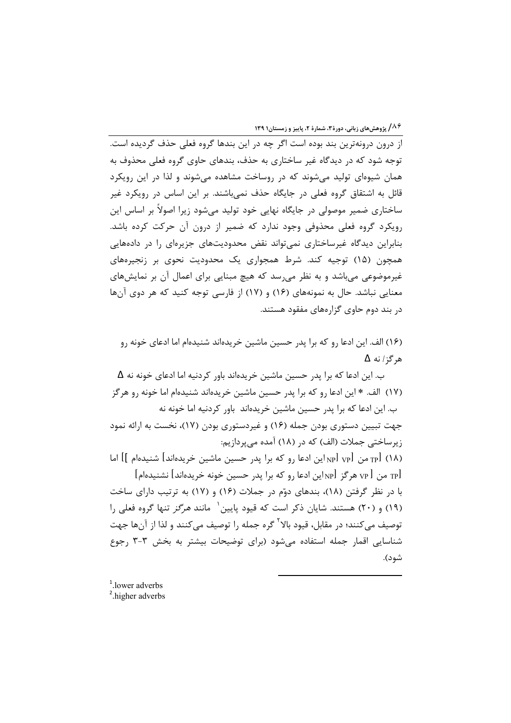از درون درونهترین بند بوده است اگر چه در این بندها گروه فعلی حذف گردیده است. توجه شود که در دیدگاه غیر ساختاری به حذف، بندهای حاوی گروه فعلی محذوف به همان شیوهای تولید می شوند که در روساخت مشاهده می شوند و لذا در این رویکرد قائل به اشتقاق گروه فعلی در جایگاه حذف نمی باشند. بر این اساس در رویکرد غیر ساختاری ضمیر موصولی در جایگاه نهایی خود تولید میشود زیرا اصولاً بر اساس این رویکرد گروه فعلی محذوفی وجود ندارد که ضمیر از درون آن حرکت کرده باشد. بنابراین دیدگاه غیرساختاری نمی تواند نقض محدودیتهای جزیرهای را در دادههایی همچون (۱۵) توجیه کند. شرط همجواری یک محدودیت نحوی بر زنجیرههای غیرموضوعی می باشد و به نظر می رسد که هیچ مبنایی برای اعمال آن بر نمایشهای معنایی نباشد. حال به نمونههای (۱۶) و (۱۷) از فارسی توجه کنید که هر دوی آنها در بند دوم حاوی گزارههای مفقود هستند.

(۱۶) الف. این ادعا رو که برا پدر حسین ماشین خریدهاند شنیدهام اما ادعای خونه رو هر گز / نه ∆

ب. این ادعا که برا پدر حسین ماشین خریدهاند باور کردنیه اما ادعای خونه نه  $\Delta$ (١٧) الف. \* اين ادعا رو كه برا يدر حسين ماشين خريدهاند شنيدهام اما خونه رو هرگز ب. این ادعا که برا پدر حسین ماشین خریدهاند باور کردنیه اما خونه نه جهت تبیین دستوری بودن جمله (۱۶) و غیردستوری بودن (۱۷)، نخست به ارائه نمود زیرساختی جملات (الف) که در (۱۸) آمده می پردازیم: (١٨) p] من p[ vp] بن ادعا ,و كه برا يد, حسين ماشين خريدهاند] شنيدهام ]] اما  $[$ هر کړ والاين ادعا رو که برا پدر حسين خونه خريدهاند] نشنيدهام  $_{\rm VP}$ با در نظر گرفتن (۱۸)، بندهای دوّم در جملات (۱۶) و (۱۷) به ترتیب دارای ساخت (١٩) و (٢٠) هستند. شایان ذکر است که قیود پایین<sup>(</sup> مانند *هرگز* تنها گروه فعلی را توصيف مي كنند؛ در مقابل، قيود بالا<sup>۲</sup> گره جمله را توصيف مي *ك*نند و لذا از آنها جهت شناسایی اقمار جمله استفاده می شود (برای توضیحات بیشتر به بخش ۳-۳ رجوع شود).

<sup>&</sup>lt;sup>1</sup>.lower adverbs <sup>2</sup>.higher adverbs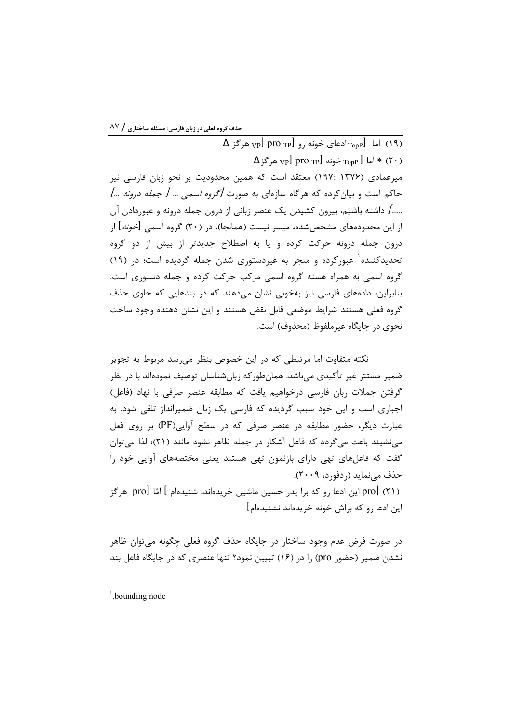$\Delta$  (١٩) اما [<sub>TopP</sub>ادعای خونه <sub>د</sub>و [pro <sub>TP</sub>] هرگز  $\Delta$  $\Delta$  ۱۶ ما  $_{\rm Top}$  خونه  $_{\rm Top}$  pro  $_{\rm Top}$  هر گز $_{\rm top}$ میرعمادی (۱۳۷۶ :۱۹۷) معتقد است که همین محدودیت بر نحو زبان فارسی نیز حاکم است و بیان کرده که هرگاه سازمای به صورت *آگروه اسمی … [ جمله درونه …]* ....../ داشته باشیم، بیرون کشیدن یک عنصر زبانی از درون جمله درونه و عبوردادن آن از این محدودههای مشخصشده، میسر نیست (همانجا). در (۲۰) گروه اسمی [*خونه*] از درون جمله درونه حرکت کرده و یا به اصطلاح جدیدتر از بیش از دو گروه تحدیدکننده و عبورکرده و منجر به غیردستوری شدن جمله گردیده است؛ در (۱۹) گروه اسمی به همراه هسته گروه اسمی مرکب حرکت کرده و جمله دستوری است. بنابراین، دادههای فارسی نیز بهخوبی نشان میدهند که در بندهایی که حاوی حذف گروه فعلی هستند شرایط موضعی قابل نقض هستند و این نشان دهنده وجود ساخت نحوي در جايگاه غيرملفوظ (محذوف) است.

نکته متفاوت اما مرتبطی که در این خصوص بنظر می رسد مربوط به تجویز ضمیر مستتر غیر تأکیدی می،باشد. همانطورکه زبانشناسان توصیف نمودهاند با در نظر گرفتن جملات زبان فارسی درخواهیم یافت که مطابقه عنصر صرفی با نهاد (فاعل) اجباری است و این خود سبب گردیده که فارسی یک زبان ضمیرانداز تلقی شود. به عبارت دیگر، حضور مطابقه در عنصر صرفی که در سطح آوایی (PF) بر روی فعل می نشیند باعث می گردد که فاعل آشکار در جمله ظاهر نشود مانند (۲۱)؛ لذا می توان گفت که فاعلهای تهی دارای بازنمون تهی هستند یعنی مختصههای آوایی خود را حذف مے نماید (ردفورد، ۲۰۰۹). (۲۱) prol این ادعا رو که برا پدر حسین ماشین خریدهاند، شنیدهام ] امّا prol هرگز این ادعا . و که براش خونه خریدهاند نشنیدهام]

در صورت فرض عدم وجود ساختار در جايگاه حذف گروه فعلي چگونه مي توان ظاهر نشدن ضمیر (حضور pro) را در (۱۶) تبیین نمود؟ تنها عنصری که در جایگاه فاعل بند

 $1.$ bounding node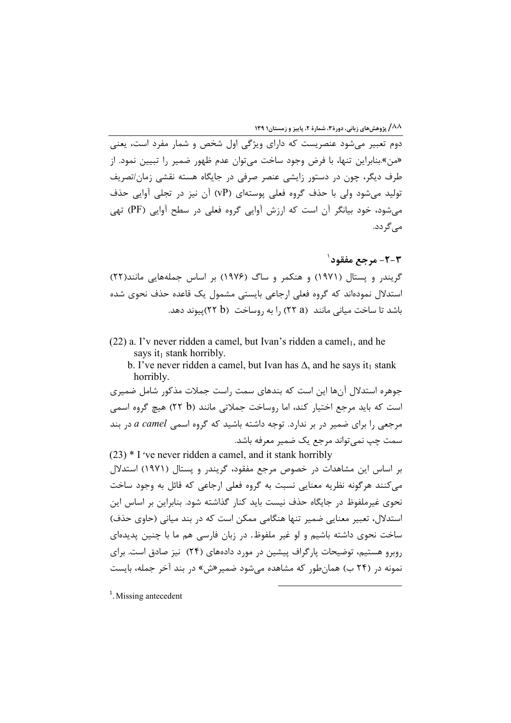دوم تعبیر میشود عنصریست که دارای ویژگی اول شخص و شمار مفرد است، یعنی «من».بنابراین تنها، با فرض وجود ساخت می توان عدم ظهور ضمیر را تبیین نمود. از طرف دیگر، چون در دستور زایشی عنصر صرفی در جایگاه هسته نقشی زمان/تصریف تولید می شود ولی با حذف گروه فعلی یوستهای (VP) آن نیز در تجلی آوایی حذف می شود، خود بیانگر آن است که ارزش آوایی گروه فعلی در سطح آوایی (PF) تهی می گر دد.

**2-3- مرجع مفقود**` گریندر و یستال (۱۹۷۱) و هنکمر و ساگ (۱۹۷۶) بر اساس جملههایی مانند(۲۲) استدلال نمودهاند که گروه فعلی ارجاعی بایستی مشمول یک قاعده حذف نحوی شده باشد تا ساخت میانی مانند (۲۵ ۲۲) ,ا به ,وساخت (۲۵ ۲۲)ییوند دهد.

 $(22)$  a. I'v never ridden a camel, but Ivan's ridden a camel<sub>1</sub>, and he says it<sub>1</sub> stank horribly.

b. I've never ridden a camel, but Ivan has  $\Delta$ , and he says it t stank horribly.

جوهره استدلال آنها این است که بندهای سمت راست جملات مذکور شامل ضمیری است که باید مرجع اختیار کند، اما روساخت جملاتی مانند (۲۲ b) هیچ گروه اسمی مرجعی را برای ضمیر در بر ندارد. توجه داشته باشید که گروه اسمی a camel در بند سمت چپ نمی تواند مرجع یک ضمیر معرفه باشد.

 $(23)$  \* I 've never ridden a camel, and it stank horribly بر اساس این مشاهدات در خصوص مرجع مفقود، گریندر و پستال (۱۹۷۱) استدلال مي كنند هرگونه نظريه معنايي نسبت به گروه فعلي ارجاعي كه قائل به وجود ساخت نحوی غیرملفوظ در جایگاه حذف نیست باید کنار گذاشته شود. بنابراین بر اساس این استدلال، تعبیر معنایی ضمیر تنها هنگامی ممکن است که در بند میانی (حاوی حذف) ساخت نحوی داشته باشیم و لو غیر ملفوظ. در زبان فارسی هم ما با چنین پدیدهای روبرو هستیم، توضیحات پارگراف پیشین در مورد دادههای (۲۴) نیز صادق است. برای نمونه در (۲۴ ب) همان طور که مشاهده می شود ضمیر «ش» در بند آخر جمله، بایست

 $<sup>1</sup>$ . Missing antecedent</sup>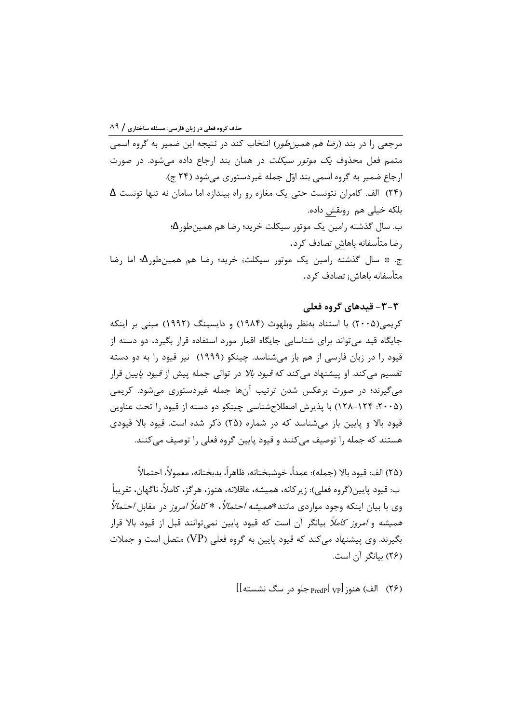مرجعی را در بند (*رضا هم همین طو*ر) انتخاب کند در نتیجه این ضمیر به گروه اسمی متمم فعل محذوف *یک موتور سیکلت* در همان بند ارجاع داده می شود. در صورت ارجاع ضمير به گروه اسمي بند اوّل جمله غيردستوري مي شود (٢۴ ج). (۲۴) الف. كامران نتونست حتى يک مغازه رو راه بيندازه اما سامان نه تنها تونست  $\Delta$ بلكه خيلي هم رونقش داده. ب. سال گذشته رامین یک موتور سیکلت خرید؛ رضا هم همینطور $\Delta$ ؛ , ضا متأسفانه باهاش تصادف کرد. ج. \* سال گذشته رامین یک موتور سیکلت<sub>ا</sub> خرید؛ رضا هم همینطور<mark>∆؛</mark> اما رضا متأسفانه باهاش<sub>ا</sub> تصادف کرد.

۳-۳- قیدهای گروه فعلی کریمی(۲۰۰۵) با استناد بهنظر وبلهوث (۱۹۸۴) و دایسینگ (۱۹۹۲) مبنی بر اینکه جایگاه قید می تواند برای شناسایی جایگاه اقمار مورد استفاده قرار بگیرد، دو دسته از قیود را در زبان فارسی از هم باز میشناسد. چینکو (۱۹۹۹) نیز قیود را به دو دسته تقسیم می)کند. او پیشنهاد می)کند که *قیود بالا* در توالی جمله پیش از *قیود پایین* قرار میگیرند؛ در صورت برعکس شدن ترتیب آنها جمله غیردستوری می شود. کریمی (۲۰۰۵: ۱۲۴-۱۲۸) با پذیرش اصطلاحشناسی چینکو دو دسته از قیود را تحت عناوین قیود بالا و پایین باز می شناسد که در شماره (۲۵) ذکر شده است. قیود بالا قیودی هستند که جمله ۱٫ توصیف می کنند و قیود پایین گروه فعلی ۱٫ توصیف می کنند.

(٢۵) الف: قيود بالا (جمله): عمداً، خوشبختانه، ظاهراً، بدبختانه، معمولاً، احتمالاً ب: قيود پايين(گروه فعلي): زير كانه، هميشه، عاقلانه، هنوز، هرگز، كاملاً، ناگهان، تقريباً وی با بیان اینکه وجود مواردی مانند\**همیشه احتمالاً*، \* *کاملاً امروز* در مقابل *احتمالاً* همی*شه* و *امروز کاملاً* بیانگر آن است که قیود پایین نمی توانند قبل از قیود بالا قرار بگیرند. وی پیشنهاد می کند که قیود پایین به گروه فعلی (VP) متصل است و جملات (۲۶) بیانگر آن است.

الف) هنوز PredPl vpl جلو در سگ نشسته]]  $\text{[} \text{ }\text{(} \text{ } \text{)} \text{ } \text{ } \text{ } \text{ } \text{]} \text{ }$  (۲۶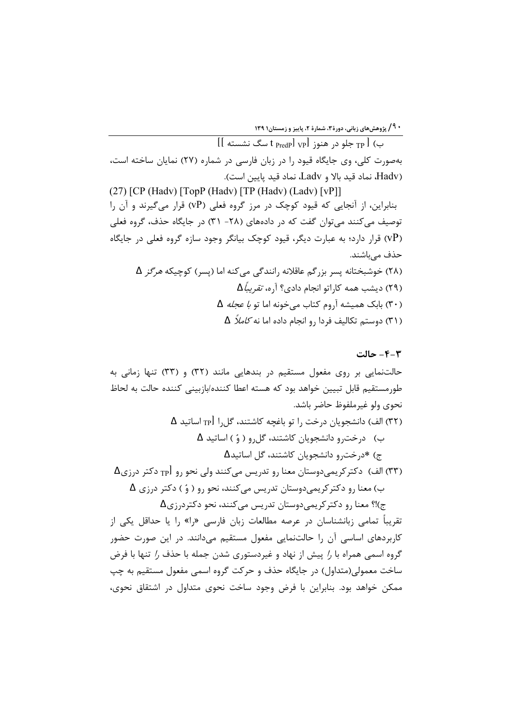ب) p جلو در هنوز t predpl vpl سگ نشسته ]] بهصورت کلی، وی جایگاه قیود را در زبان فارسی در شماره (۲۷) نمایان ساخته است، Hadv)، نماد قيد بالا و Ladv، نماد قيد پايين است).

 $(27)$  [CP (Hadv) [TopP (Hadv) [TP (Hadv) (Ladv) [vP]] بنابراین، از آنجایی که قیود کوچک در مرز گروه فعلی (VP) قرار میگیرند و آن را توصیف میکنند میتوان گفت که در دادههای (۲۸- ۳۱) در جایگاه حذف، گروه فعلی (VP) قرار دارد؛ به عبارت دیگر، قیود کوچک بیانگر وجود سازه گروه فعلی در جایگاه حذف میباشند. (۲۸) خوشبختانه پسر بزرگم عاقلانه رانندگی می کنه اما (پسر) کوچیکه *هرگز* A (۲۹) دیشب همه کاراتو انجام دادی؟ آره، *تقریباً*  $\Delta$ (٣٠) بابک همیشه آروم کتاب می خونه اما تو ب*ا عجله* A (۳۱) دوستم تکالیف فردا <sub>د</sub>و انجام داده اما نه *کاملاً* Δ

#### ۴-۴- حالت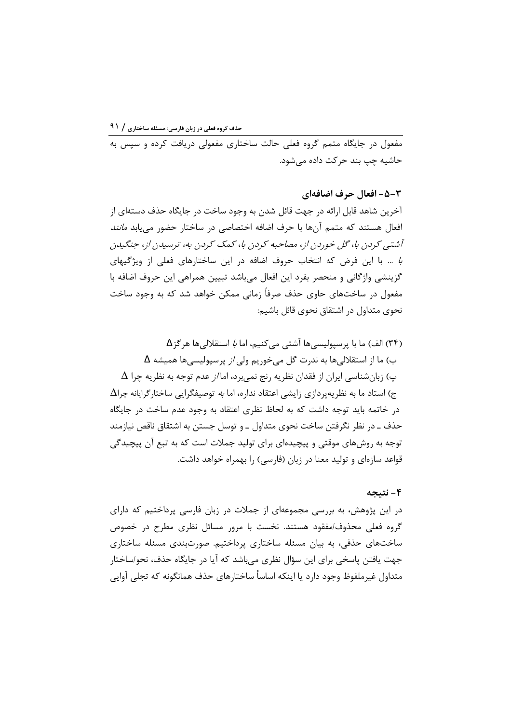مفعول در جایگاه متمم گروه فعلی حالت ساختاری مفعولی دریافت کرده و سیس به حاشیه چپ بند حرکت داده مے شود.

٣-۵- افعال حرف اضافهای

آخرین شاهد قابل ارائه در جهت قائل شدن به وجود ساخت در جایگاه حذف دستهای از افعال هستند که متمم آنها با حرف اضافه اختصاصی در ساختار حضور می یابد *مانند* آشتبی کردن با، گل خوردن از، مصاحبه کردن با، کمک کردن به، ترسیدن از، جنگیدن 4 ... با این فرض که انتخاب حروف اضافه در این ساختارهای فعلی از ویژگیهای گزینشی واژگانی و منحصر بفرد این افعال میباشد تبیین همراهی این حروف اضافه با مفعول در ساختهای حاوی حذف صرفاً زمانی ممکن خواهد شد که به وجود ساخت نحوی متداول در اشتقاق نحوی قائل باشیم:

(۳۴) الف) ما با پرسپولیسی ها آشتی می کنیم، اما *با* استقلالی ها هر گز Δ ب) ما از استقلالیها به ندرت گل میخوریم ولی *از* پرسپولیسیها همیشه  $\Delta$  $\Delta$  پ) زبانشناسی ایران از فقدان نظریه رنج نمیبرد، اما/ز عدم توجه به نظریه چرا ج) استاد ما به نظریهپردازی زایشی اعتقاد نداره، اما *به* توصیفگرایی ساختار *گ*رایانه چرا $\Lambda$ در خاتمه باید توجه داشت که به لحاظ نظری اعتقاد به وجود عدم ساخت در جایگاه حذف ـ در نظر نگرفتن ساخت نحوی متداول ـ و توسل جستن به اشتقاق ناقص نیازمند توجه به روشهای موقتی و پیچیدهای برای تولید جملات است که به تبع آن پیچیدگی قواعد سازهای و تولید معنا در زبان (فارسی) را بهمراه خواهد داشت.

## ۴- نتيجه

در این پژوهش، به بررسی مجموعهای از جملات در زبان فارسی پرداختیم که دارای گروه فعلی محذوف/مفقود هستند. نخست با مرور مسائل نظری مطرح در خصوص ساختهای حذفی، به بیان مسئله ساختاری پرداختیم. صورتبندی مسئله ساختاری جهت یافتن پاسخی برای این سؤال نظری می باشد که آیا در جایگاه حذف، نحو/ساختار متداول غیرملفوظ وجود دارد یا اینکه اساساً ساختارهای حذف همانگونه که تجلی آوایی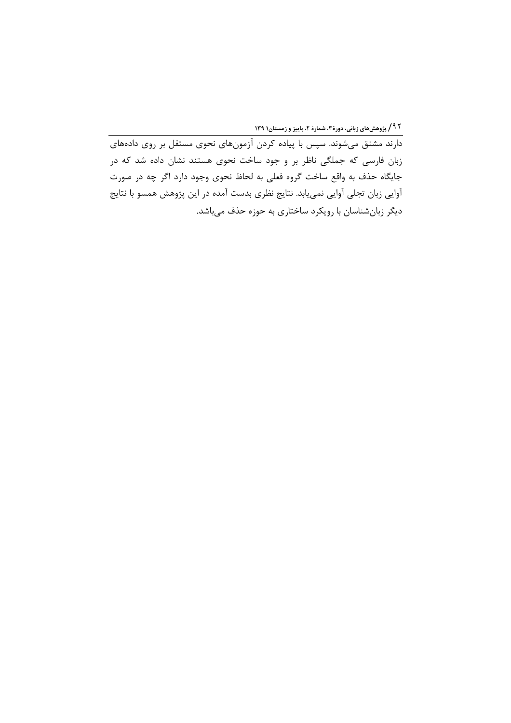دارند مشتق میشوند. سپس با پیاده کردن آزمونهای نحوی مستقل بر روی دادههای زبان فارسی که جملگی ناظر بر و جود ساخت نحوی هستند نشان داده شد که در جایگاه حذف به واقع ساخت گروه فعلی به لحاظ نحوی وجود دارد اگر چه در صورت آوایی زبان تجلی آوایی نمییابد. نتایج نظری بدست آمده در این پژوهش همسو با نتایج دیگر زبانشناسان با رویکرد ساختاری به حوزه حذف میباشد.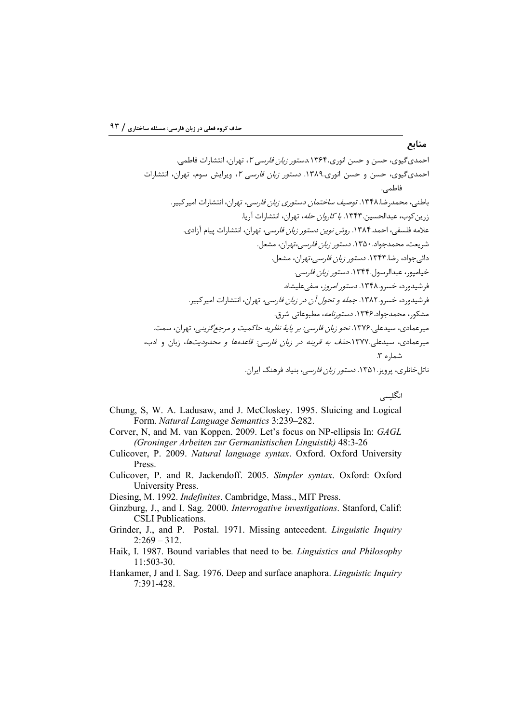انگلیسی

- Chung, S, W. A. Ladusaw, and J. McCloskey. 1995. Sluicing and Logical Form. Natural Language Semantics 3:239-282.
- Corver, N, and M. van Koppen. 2009. Let's focus on NP-ellipsis In: GAGL (Groninger Arbeiten zur Germanistischen Linguistik) 48:3-26
- Culicover, P. 2009. Natural language syntax. Oxford. Oxford University Press.
- Culicover, P. and R. Jackendoff. 2005. Simpler syntax. Oxford: Oxford University Press.

Diesing, M. 1992. Indefinites. Cambridge, Mass., MIT Press.

- Ginzburg, J., and I. Sag. 2000. Interrogative investigations. Stanford, Calif: **CSLI** Publications.
- Grinder, J., and P. Postal. 1971. Missing antecedent. Linguistic Inquiry  $2:269 - 312.$
- Haik, I. 1987. Bound variables that need to be. *Linguistics and Philosophy* 11:503-30.
- Hankamer, J and I. Sag. 1976. Deep and surface anaphora. Linguistic Inquiry 7:391-428.